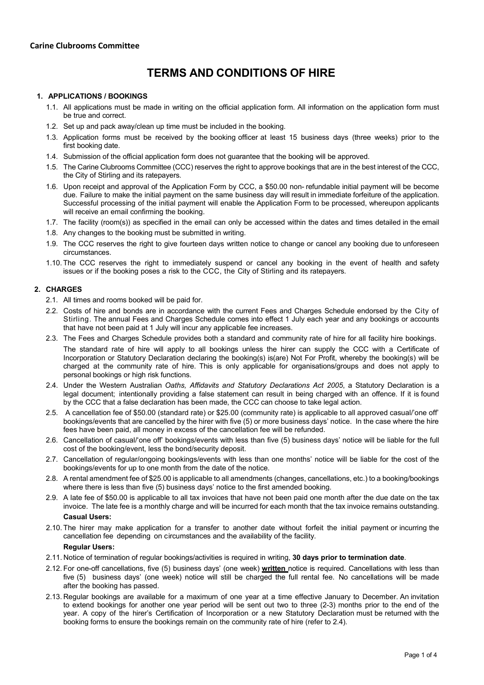# **TERMS AND CONDITIONS OF HIRE**

# **1. APPLICATIONS / BOOKINGS**

- 1.1. All applications must be made in writing on the official application form. All information on the application form must be true and correct.
- 1.2. Set up and pack away/clean up time must be included in the booking.
- 1.3. Application forms must be received by the booking officer at least 15 business days (three weeks) prior to the first booking date.
- 1.4. Submission of the official application form does not guarantee that the booking will be approved.
- 1.5. The Carine Clubrooms Committee (CCC) reserves the right to approve bookings that are in the best interest of the CCC, the City of Stirling and its ratepayers.
- 1.6. Upon receipt and approval of the Application Form by CCC, a \$50.00 non- refundable initial payment will be become due. Failure to make the initial payment on the same business day will result in immediate forfeiture of the application. Successful processing of the initial payment will enable the Application Form to be processed, whereupon applicants will receive an email confirming the booking.
- 1.7. The facility (room(s)) as specified in the email can only be accessed within the dates and times detailed in the email
- 1.8. Any changes to the booking must be submitted in writing.
- 1.9. The CCC reserves the right to give fourteen days written notice to change or cancel any booking due to unforeseen circumstances.
- 1.10.The CCC reserves the right to immediately suspend or cancel any booking in the event of health and safety issues or if the booking poses a risk to the CCC, the City of Stirling and its ratepayers.

## **2. CHARGES**

- 2.1. All times and rooms booked will be paid for.
- 2.2. Costs of hire and bonds are in accordance with the current Fees and Charges Schedule endorsed by the City of Stirling. The annual Fees and Charges Schedule comes into effect 1 July each year and any bookings or accounts that have not been paid at 1 July will incur any applicable fee increases.
- 2.3. The Fees and Charges Schedule provides both a standard and community rate of hire for all facility hire bookings.

The standard rate of hire will apply to all bookings unless the hirer can supply the CCC with a Certificate of Incorporation or Statutory Declaration declaring the booking(s) is(are) Not For Profit, whereby the booking(s) will be charged at the community rate of hire. This is only applicable for organisations/groups and does not apply to personal bookings or high risk functions.

- 2.4. Under the Western Australian *Oaths, Affidavits and Statutory Declarations Act 2005*, a Statutory Declaration is a legal document; intentionally providing a false statement can result in being charged with an offence. If it is found by the CCC that a false declaration has been made, the CCC can choose to take legal action.
- 2.5. A cancellation fee of \$50.00 (standard rate) or \$25.00 (community rate) is applicable to all approved casual/'one off' bookings/events that are cancelled by the hirer with five (5) or more business days' notice. In the case where the hire fees have been paid, all money in excess of the cancellation fee will be refunded.
- 2.6. Cancellation of casual/'one off' bookings/events with less than five (5) business days' notice will be liable for the full cost of the booking/event, less the bond/security deposit.
- 2.7. Cancellation of regular/ongoing bookings/events with less than one months' notice will be liable for the cost of the bookings/events for up to one month from the date of the notice.
- 2.8. A rental amendment fee of \$25.00 is applicable to all amendments (changes, cancellations, etc.) to a booking/bookings where there is less than five (5) business days' notice to the first amended booking.
- 2.9. A late fee of \$50.00 is applicable to all tax invoices that have not been paid one month after the due date on the tax invoice. The late fee is a monthly charge and will be incurred for each month that the tax invoice remains outstanding. **Casual Users:**
- 2.10. The hirer may make application for a transfer to another date without forfeit the initial payment or incurring the cancellation fee depending on circumstances and the availability of the facility.

#### **Regular Users:**

- 2.11. Notice of termination of regular bookings/activities is required in writing, **30 days prior to termination date**.
- 2.12. For one-off cancellations, five (5) business days' (one week) **written** notice is required. Cancellations with less than five (5) business days' (one week) notice will still be charged the full rental fee. No cancellations will be made after the booking has passed.
- 2.13. Regular bookings are available for a maximum of one year at a time effective January to December. An invitation to extend bookings for another one year period will be sent out two to three (2-3) months prior to the end of the year. A copy of the hirer's Certification of Incorporation or a new Statutory Declaration must be returned with the booking forms to ensure the bookings remain on the community rate of hire (refer to 2.4).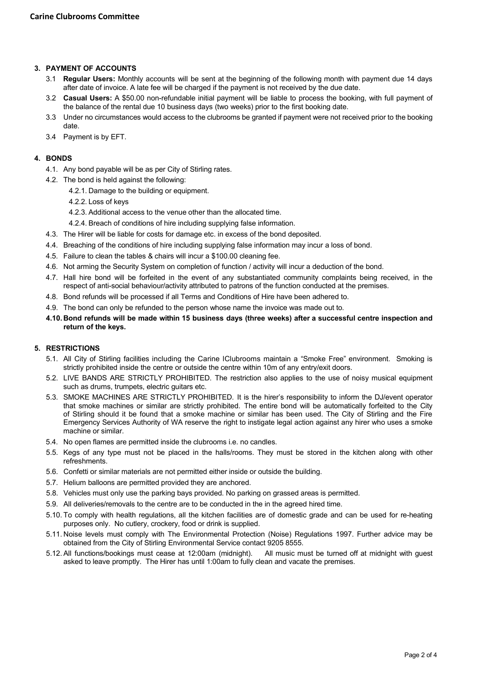# **3. PAYMENT OF ACCOUNTS**

- 3.1 **Regular Users:** Monthly accounts will be sent at the beginning of the following month with payment due 14 days after date of invoice. A late fee will be charged if the payment is not received by the due date.
- 3.2 **Casual Users:** A \$50.00 non-refundable initial payment will be liable to process the booking, with full payment of the balance of the rental due 10 business days (two weeks) prior to the first booking date.
- 3.3 Under no circumstances would access to the clubrooms be granted if payment were not received prior to the booking date.
- 3.4 Payment is by EFT.

## **4. BONDS**

- 4.1. Any bond payable will be as per City of Stirling rates.
- 4.2. The bond is held against the following:
	- 4.2.1. Damage to the building or equipment.
	- 4.2.2. Loss of keys
	- 4.2.3. Additional access to the venue other than the allocated time.
	- 4.2.4. Breach of conditions of hire including supplying false information.
- 4.3. The Hirer will be liable for costs for damage etc. in excess of the bond deposited.
- 4.4. Breaching of the conditions of hire including supplying false information may incur a loss of bond.
- 4.5. Failure to clean the tables & chairs will incur a \$100.00 cleaning fee.
- 4.6. Not arming the Security System on completion of function / activity will incur a deduction of the bond.
- 4.7. Hall hire bond will be forfeited in the event of any substantiated community complaints being received, in the respect of anti-social behaviour/activity attributed to patrons of the function conducted at the premises.
- 4.8. Bond refunds will be processed if all Terms and Conditions of Hire have been adhered to.
- 4.9. The bond can only be refunded to the person whose name the invoice was made out to.
- **4.10.Bond refunds will be made within 15 business days (three weeks) after a successful centre inspection and return of the keys.**

#### **5. RESTRICTIONS**

- 5.1. All City of Stirling facilities including the Carine lClubrooms maintain a "Smoke Free" environment. Smoking is strictly prohibited inside the centre or outside the centre within 10m of any entry/exit doors.
- 5.2. LIVE BANDS ARE STRICTLY PROHIBITED. The restriction also applies to the use of noisy musical equipment such as drums, trumpets, electric guitars etc.
- 5.3. SMOKE MACHINES ARE STRICTLY PROHIBITED. It is the hirer's responsibility to inform the DJ/event operator that smoke machines or similar are strictly prohibited. The entire bond will be automatically forfeited to the City of Stirling should it be found that a smoke machine or similar has been used. The City of Stirling and the Fire Emergency Services Authority of WA reserve the right to instigate legal action against any hirer who uses a smoke machine or similar.
- 5.4. No open flames are permitted inside the clubrooms i.e. no candles.
- 5.5. Kegs of any type must not be placed in the halls/rooms. They must be stored in the kitchen along with other refreshments.
- 5.6. Confetti or similar materials are not permitted either inside or outside the building.
- 5.7. Helium balloons are permitted provided they are anchored.
- 5.8. Vehicles must only use the parking bays provided. No parking on grassed areas is permitted.
- 5.9. All deliveries/removals to the centre are to be conducted in the in the agreed hired time.
- 5.10. To comply with health regulations, all the kitchen facilities are of domestic grade and can be used for re-heating purposes only. No cutlery, crockery, food or drink is supplied.
- 5.11. Noise levels must comply with The Environmental Protection (Noise) Regulations 1997. Further advice may be obtained from the City of Stirling Environmental Service contact 9205 8555.
- 5.12. All functions/bookings must cease at 12:00am (midnight). All music must be turned off at midnight with guest asked to leave promptly. The Hirer has until 1:00am to fully clean and vacate the premises.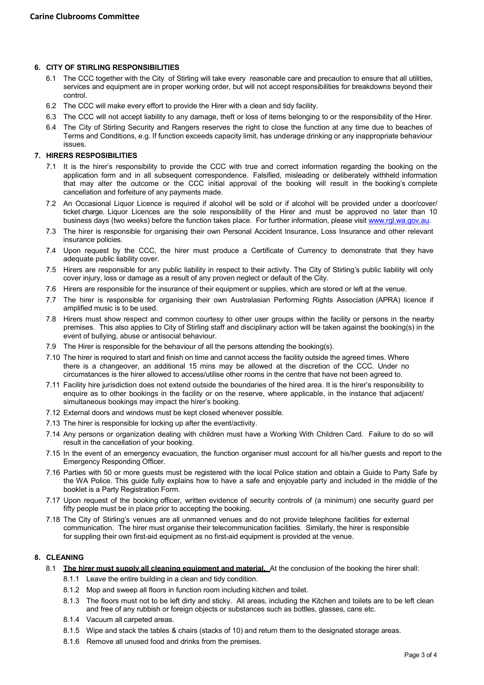# **6. CITY OF STIRLING RESPONSIBILITIES**

- 6.1 The CCC together with the City of Stirling will take every reasonable care and precaution to ensure that all utilities, services and equipment are in proper working order, but will not accept responsibilities for breakdowns beyond their control.
- 6.2 The CCC will make every effort to provide the Hirer with a clean and tidy facility.
- 6.3 The CCC will not accept liability to any damage, theft or loss of items belonging to or the responsibility of the Hirer.
- 6.4 The City of Stirling Security and Rangers reserves the right to close the function at any time due to beaches of Terms and Conditions, e.g. If function exceeds capacity limit, has underage drinking or any inappropriate behaviour issues.

## **7. HIRERS RESPOSIBILITIES**

- 7.1 It is the hirer's responsibility to provide the CCC with true and correct information regarding the booking on the application form and in all subsequent correspondence. Falsified, misleading or deliberately withheld information that may alter the outcome or the CCC initial approval of the booking will result in the booking's complete cancellation and forfeiture of any payments made.
- 7.2 An Occasional Liquor Licence is required if alcohol will be sold or if alcohol will be provided under a door/cover/ ticket charge. Liquor Licences are the sole responsibility of the Hirer and must be approved no later than 10 business days (two weeks) before the function takes place. For further information, please visit [www.rgl.wa.gov.au.](http://www.rgl.wa.gov.au/)
- 7.3 The hirer is responsible for organising their own Personal Accident Insurance, Loss Insurance and other relevant insurance policies.
- 7.4 Upon request by the CCC, the hirer must produce a Certificate of Currency to demonstrate that they have adequate public liability cover.
- 7.5 Hirers are responsible for any public liability in respect to their activity. The City of Stirling's public liability will only cover injury, loss or damage as a result of any proven neglect or default of the City.
- 7.6 Hirers are responsible for the insurance of their equipment or supplies, which are stored or left at the venue.
- 7.7 The hirer is responsible for organising their own Australasian Performing Rights Association (APRA) licence if amplified music is to be used.
- 7.8 Hirers must show respect and common courtesy to other user groups within the facility or persons in the nearby premises. This also applies to City of Stirling staff and disciplinary action will be taken against the booking(s) in the event of bullying, abuse or antisocial behaviour.
- 7.9 The Hirer is responsible for the behaviour of all the persons attending the booking(s).
- 7.10 The hirer is required to start and finish on time and cannot access the facility outside the agreed times. Where there is a changeover, an additional 15 mins may be allowed at the discretion of the CCC. Under no circumstances is the hirer allowed to access/utilise other rooms in the centre that have not been agreed to.
- 7.11 Facility hire jurisdiction does not extend outside the boundaries of the hired area. It is the hirer's responsibility to enquire as to other bookings in the facility or on the reserve, where applicable, in the instance that adjacent/ simultaneous bookings may impact the hirer's booking.
- 7.12 External doors and windows must be kept closed whenever possible.
- 7.13 The hirer is responsible for locking up after the event/activity.
- 7.14 Any persons or organization dealing with children must have a Working With Children Card. Failure to do so will result in the cancellation of your booking.
- 7.15 In the event of an emergency evacuation, the function organiser must account for all his/her guests and report to the Emergency Responding Officer.
- 7.16 Parties with 50 or more guests must be registered with the local Police station and obtain a Guide to Party Safe by the WA Police. This guide fully explains how to have a safe and enjoyable party and included in the middle of the booklet is a Party Registration Form.
- 7.17 Upon request of the booking officer, written evidence of security controls of (a minimum) one security guard per fifty people must be in place prior to accepting the booking.
- 7.18 The City of Stirling's venues are all unmanned venues and do not provide telephone facilities for external communication. The hirer must organise their telecommunication facilities. Similarly, the hirer is responsible for suppling their own first-aid equipment as no first-aid equipment is provided at the venue.

# **8. CLEANING**

- 8.1 **The hirer must supply all cleaning equipment and material.** At the conclusion of the booking the hirer shall:
	- 8.1.1 Leave the entire building in a clean and tidy condition.
	- 8.1.2 Mop and sweep all floors in function room including kitchen and toilet.
	- 8.1.3 The floors must not to be left dirty and sticky. All areas, including the Kitchen and toilets are to be left clean and free of any rubbish or foreign objects or substances such as bottles, glasses, cans etc.
	- 8.1.4 Vacuum all carpeted areas.
	- 8.1.5 Wipe and stack the tables & chairs (stacks of 10) and return them to the designated storage areas.
	- 8.1.6 Remove all unused food and drinks from the premises.